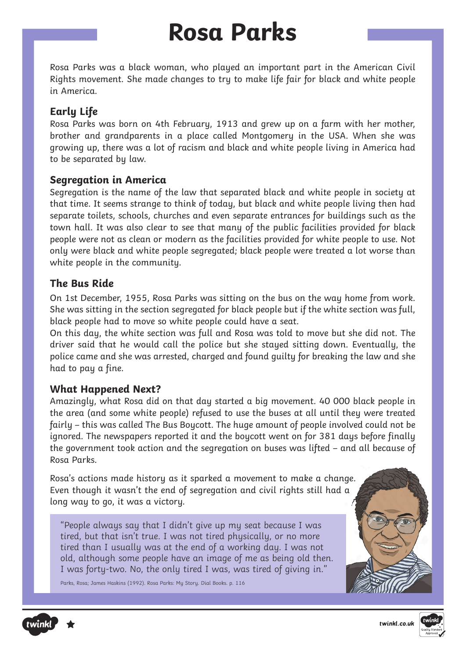### **Rosa Parks**

Rosa Parks was a black woman, who played an important part in the American Civil Rights movement. She made changes to try to make life fair for black and white people in America.

### **Early Life**

Rosa Parks was born on 4th February, 1913 and grew up on a farm with her mother, brother and grandparents in a place called Montgomery in the USA. When she was growing up, there was a lot of racism and black and white people living in America had to be separated by law.

### **Segregation in America**

Segregation is the name of the law that separated black and white people in society at that time. It seems strange to think of today, but black and white people living then had separate toilets, schools, churches and even separate entrances for buildings such as the town hall. It was also clear to see that many of the public facilities provided for black people were not as clean or modern as the facilities provided for white people to use. Not only were black and white people segregated; black people were treated a lot worse than white people in the community.

### **The Bus Ride**

On 1st December, 1955, Rosa Parks was sitting on the bus on the way home from work. She was sitting in the section segregated for black people but if the white section was full, black people had to move so white people could have a seat.

On this day, the white section was full and Rosa was told to move but she did not. The driver said that he would call the police but she stayed sitting down. Eventually, the police came and she was arrested, charged and found guilty for breaking the law and she had to pay a fine.

### **What Happened Next?**

Amazingly, what Rosa did on that day started a big movement. 40 000 black people in the area (and some white people) refused to use the buses at all until they were treated fairly – this was called The Bus Boycott. The huge amount of people involved could not be ignored. The newspapers reported it and the boycott went on for 381 days before finally the government took action and the segregation on buses was lifted – and all because of Rosa Parks.

Rosa's actions made history as it sparked a movement to make a change. Even though it wasn't the end of segregation and civil rights still had a long way to go, it was a victory.

"People always say that I didn't give up my seat because I was tired, but that isn't true. I was not tired physically, or no more tired than I usually was at the end of a working day. I was not old, although some people have an image of me as being old then. I was forty-two. No, the only tired I was, was tired of giving in."

Parks, Rosa; James Haskins (1992). Rosa Parks: My Story. Dial Books. p. 116







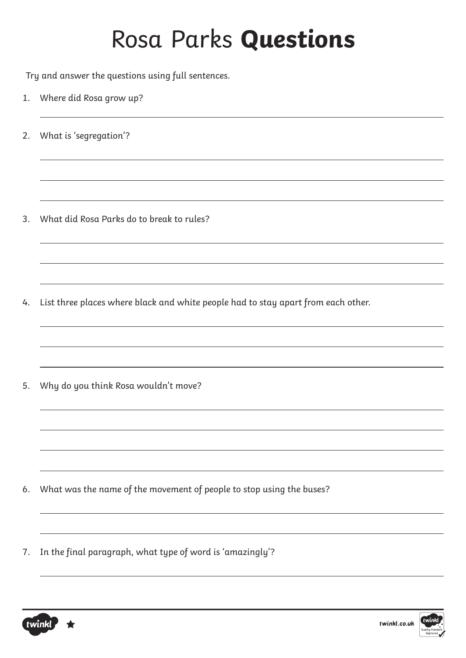Try and answer the questions using full sentences.

- 1. Where did Rosa grow up?
- 2. What is 'segregation'?

3. What did Rosa Parks do to break to rules?

4. List three places where black and white people had to stay apart from each other.

5. Why do you think Rosa wouldn't move?

- 6. What was the name of the movement of people to stop using the buses?
- 7. In the final paragraph, what type of word is 'amazingly'?



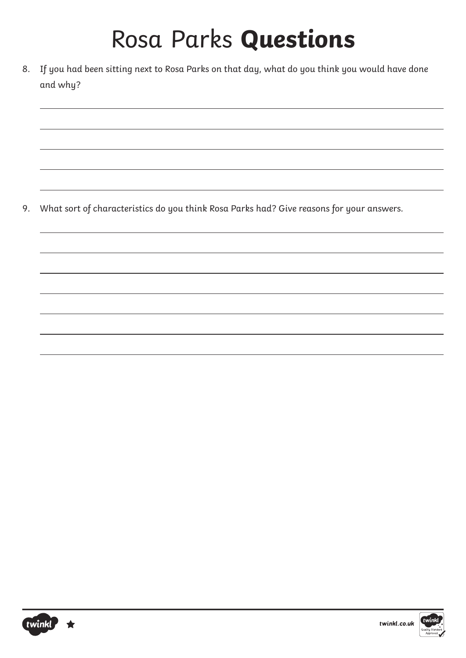8. If you had been sitting next to Rosa Parks on that day, what do you think you would have done and why?

9. What sort of characteristics do you think Rosa Parks had? Give reasons for your answers.



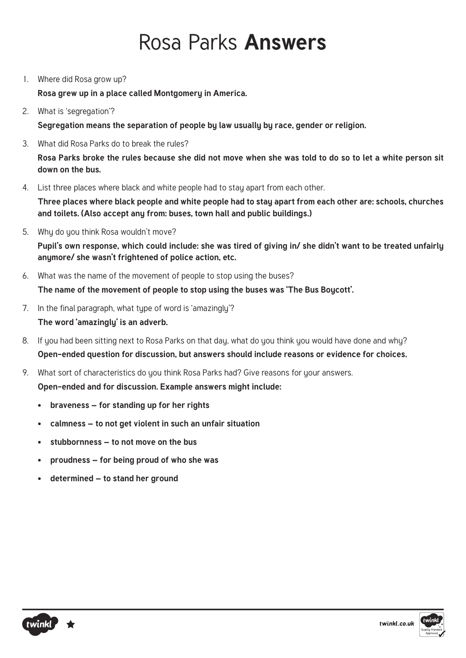### Rosa Parks **Answers**

1. Where did Rosa grow up?

**Rosa grew up in a place called Montgomery in America.** 

2. What is 'segregation'?

**Segregation means the separation of people by law usually by race, gender or religion.**

3. What did Rosa Parks do to break the rules?

**Rosa Parks broke the rules because she did not move when she was told to do so to let a white person sit down on the bus.**

4. List three places where black and white people had to stay apart from each other.

**Three places where black people and white people had to stay apart from each other are: schools, churches and toilets. (Also accept any from: buses, town hall and public buildings.)**

5. Why do you think Rosa wouldn't move?

**Pupil's own response, which could include: she was tired of giving in/ she didn't want to be treated unfairly anymore/ she wasn't frightened of police action, etc.** 

- 6. What was the name of the movement of people to stop using the buses? **The name of the movement of people to stop using the buses was 'The Bus Boycott'.**
- 7. In the final paragraph, what type of word is 'amazingly'? **The word 'amazingly' is an adverb.**
- 8. If you had been sitting next to Rosa Parks on that day, what do you think you would have done and why? **Open-ended question for discussion, but answers should include reasons or evidence for choices.**
- 9. What sort of characteristics do you think Rosa Parks had? Give reasons for your answers. **Open-ended and for discussion. Example answers might include:**
	- **• braveness for standing up for her rights**
	- **• calmness to not get violent in such an unfair situation**
	- **• stubbornness to not move on the bus**
	- **• proudness for being proud of who she was**
	- **• determined to stand her ground**



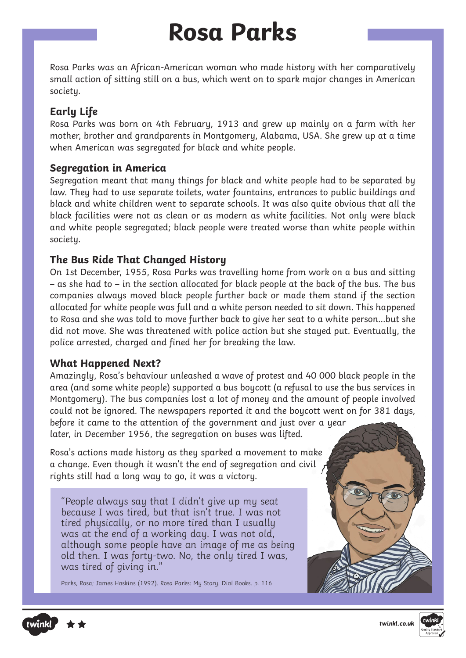### **Rosa Parks**

Rosa Parks was an African-American woman who made history with her comparatively small action of sitting still on a bus, which went on to spark major changes in American societu.

### **Early Life**

Rosa Parks was born on 4th February, 1913 and grew up mainly on a farm with her mother, brother and grandparents in Montgomery, Alabama, USA. She grew up at a time when American was segregated for black and white people.

### **Segregation in America**

Segregation meant that many things for black and white people had to be separated by law. They had to use separate toilets, water fountains, entrances to public buildings and black and white children went to separate schools. It was also quite obvious that all the black facilities were not as clean or as modern as white facilities. Not only were black and white people segregated; black people were treated worse than white people within societu.

### **The Bus Ride That Changed History**

On 1st December, 1955, Rosa Parks was travelling home from work on a bus and sitting – as she had to – in the section allocated for black people at the back of the bus. The bus companies always moved black people further back or made them stand if the section allocated for white people was full and a white person needed to sit down. This happened to Rosa and she was told to move further back to give her seat to a white person…but she did not move. She was threatened with police action but she stayed put. Eventually, the police arrested, charged and fined her for breaking the law.

### **What Happened Next?**

Amazingly, Rosa's behaviour unleashed a wave of protest and 40 000 black people in the area (and some white people) supported a bus boycott (a refusal to use the bus services in Montgomery). The bus companies lost a lot of money and the amount of people involved could not be ignored. The newspapers reported it and the boycott went on for 381 days, before it came to the attention of the government and just over a year

later, in December 1956, the segregation on buses was lifted.

Rosa's actions made history as they sparked a movement to make a change. Even though it wasn't the end of segregation and civil rights still had a long way to go, it was a victory.

"People always say that I didn't give up my seat because I was tired, but that isn't true. I was not tired physically, or no more tired than I usually was at the end of a working day. I was not old, although some people have an image of me as being old then. I was forty-two. No, the only tired I was, was tired of giving in."

Parks, Rosa; James Haskins (1992). Rosa Parks: My Story. Dial Books. p. 116





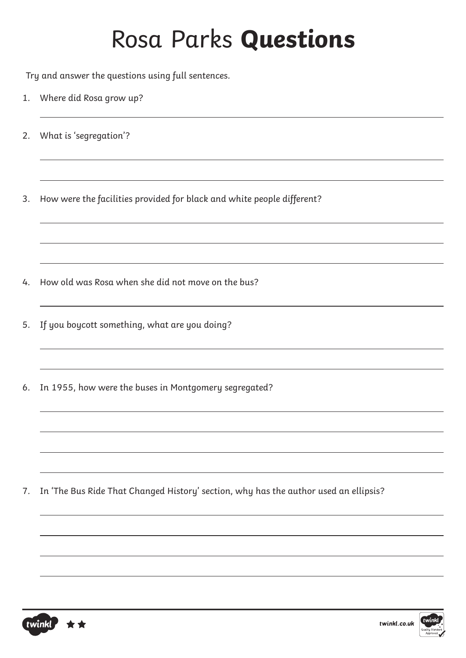Try and answer the questions using full sentences.

- 1. Where did Rosa grow up?
- 2. What is 'segregation'?

3. How were the facilities provided for black and white people different?

- 4. How old was Rosa when she did not move on the bus?
- 5. If you boycott something, what are you doing?
- 6. In 1955, how were the buses in Montgomery segregated?

7. In 'The Bus Ride That Changed History' section, why has the author used an ellipsis?



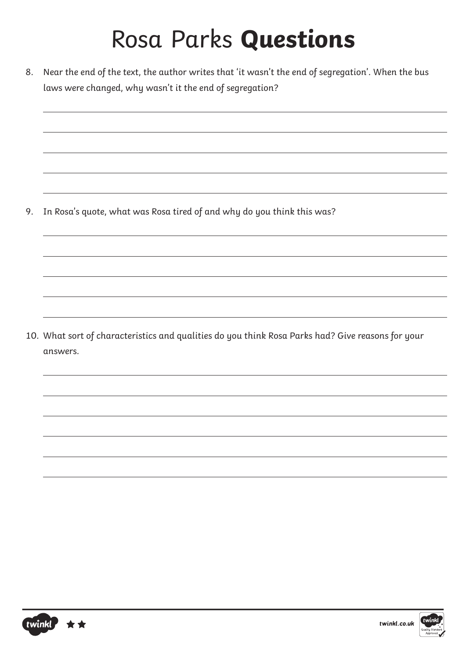8. Near the end of the text, the author writes that 'it wasn't the end of segregation'. When the bus laws were changed, why wasn't it the end of segregation?

9. In Rosa's quote, what was Rosa tired of and why do you think this was?

10. What sort of characteristics and qualities do you think Rosa Parks had? Give reasons for your answers.

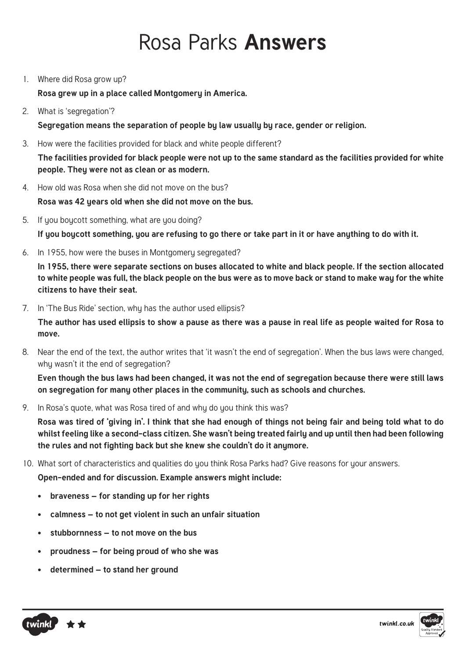### Rosa Parks **Answers**

1. Where did Rosa grow up?

**Rosa grew up in a place called Montgomery in America.** 

2. What is 'segregation'?

**Segregation means the separation of people by law usually by race, gender or religion.**

3. How were the facilities provided for black and white people different?

**The facilities provided for black people were not up to the same standard as the facilities provided for white**  people. They were not as clean or as modern.

- 4. How old was Rosa when she did not move on the bus? **Rosa was 42 years old when she did not move on the bus.**
- 5. If you boycott something, what are you doing? **If you boycott something, you are refusing to go there or take part in it or have anything to do with it.**
- 6. In 1955, how were the buses in Montgomery segregated?

**In 1955, there were separate sections on buses allocated to white and black people. If the section allocated to white people was full, the black people on the bus were as to move back or stand to make way for the white citizens to have their seat.** 

7. In 'The Bus Ride' section, why has the author used ellipsis?

**The author has used ellipsis to show a pause as there was a pause in real life as people waited for Rosa to move.**

8. Near the end of the text, the author writes that 'it wasn't the end of segregation'. When the bus laws were changed, why wasn't it the end of segregation?

**Even though the bus laws had been changed, it was not the end of segregation because there were still laws on segregation for many other places in the community, such as schools and churches.**

9. In Rosa's quote, what was Rosa tired of and whu do you think this was?

**Rosa was tired of 'giving in'. I think that she had enough of things not being fair and being told what to do whilst feeling like a second-class citizen. She wasn't being treated fairly and up until then had been following the rules and not fighting back but she knew she couldn't do it anymore.** 

10. What sort of characteristics and qualities do you think Rosa Parks had? Give reasons for your answers.

**Open-ended and for discussion. Example answers might include:**

- **• braveness for standing up for her rights**
- **• calmness to not get violent in such an unfair situation**
- **• stubbornness to not move on the bus**
- **• proudness for being proud of who she was**
- **• determined to stand her ground**

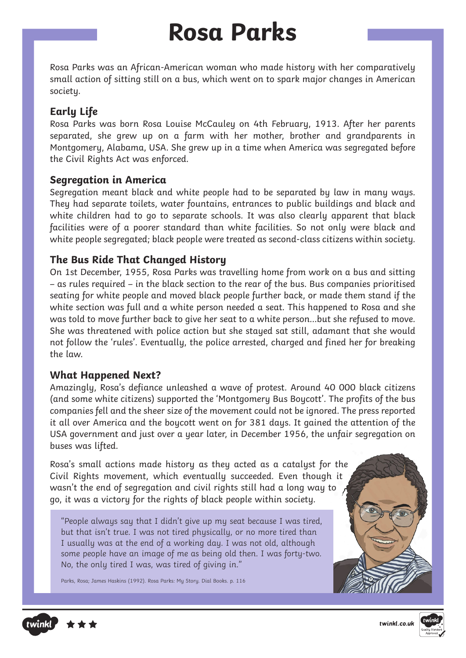### **Rosa Parks**

Rosa Parks was an African-American woman who made history with her comparatively small action of sitting still on a bus, which went on to spark major changes in American societu.

### **Early Life**

Rosa Parks was born Rosa Louise McCauley on 4th February, 1913. After her parents separated, she grew up on a farm with her mother, brother and grandparents in Montgomery, Alabama, USA. She grew up in a time when America was segregated before the Civil Rights Act was enforced.

#### **Segregation in America**

Segregation meant black and white people had to be separated by law in many ways. They had separate toilets, water fountains, entrances to public buildings and black and white children had to go to separate schools. It was also clearly apparent that black facilities were of a poorer standard than white facilities. So not only were black and white people segregated; black people were treated as second-class citizens within society.

#### **The Bus Ride That Changed History**

On 1st December, 1955, Rosa Parks was travelling home from work on a bus and sitting – as rules required – in the black section to the rear of the bus. Bus companies prioritised seating for white people and moved black people further back, or made them stand if the white section was full and a white person needed a seat. This happened to Rosa and she was told to move further back to give her seat to a white person…but she refused to move. She was threatened with police action but she stayed sat still, adamant that she would not follow the 'rules'. Eventually, the police arrested, charged and fined her for breaking the law.

#### **What Happened Next?**

Amazingly, Rosa's defiance unleashed a wave of protest. Around 40 000 black citizens (and some white citizens) supported the 'Montgomery Bus Boycott'. The profits of the bus companies fell and the sheer size of the movement could not be ignored. The press reported it all over America and the boycott went on for 381 days. It gained the attention of the USA government and just over a year later, in December 1956, the unfair segregation on buses was lifted.

Rosa's small actions made history as they acted as a catalyst for the Civil Rights movement, which eventually succeeded. Even though it wasn't the end of segregation and civil rights still had a long way to go, it was a victory for the rights of black people within society.

"People always say that I didn't give up my seat because I was tired, but that isn't true. I was not tired physically, or no more tired than I usually was at the end of a working day. I was not old, although some people have an image of me as being old then. I was forty-two. No, the only tired I was, was tired of giving in."

Parks, Rosa; James Haskins (1992). Rosa Parks: My Story. Dial Books. p. 116





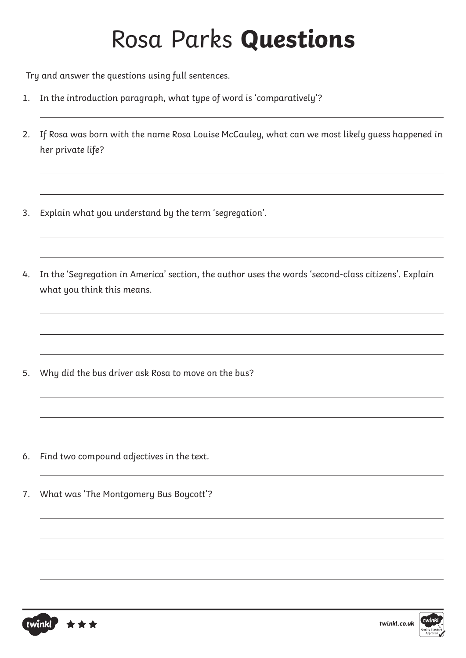Try and answer the questions using full sentences.

- 1. In the introduction paragraph, what type of word is 'comparatively'?
- 2. If Rosa was born with the name Rosa Louise McCauley, what can we most likely guess happened in her private life?
- 3. Explain what you understand by the term 'segregation'.
- 4. In the 'Segregation in America' section, the author uses the words 'second-class citizens'. Explain what you think this means.

5. Why did the bus driver ask Rosa to move on the bus?

- 6. Find two compound adjectives in the text.
- 7. What was 'The Montgomery Bus Boycott'?

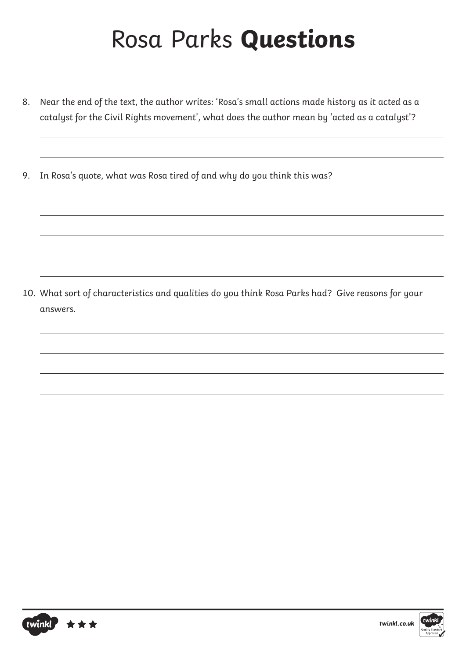- 8. Near the end of the text, the author writes: 'Rosa's small actions made history as it acted as a catalyst for the Civil Rights movement', what does the author mean by 'acted as a catalyst'?
- 9. In Rosa's quote, what was Rosa tired of and why do you think this was?

10. What sort of characteristics and qualities do you think Rosa Parks had? Give reasons for your answers.